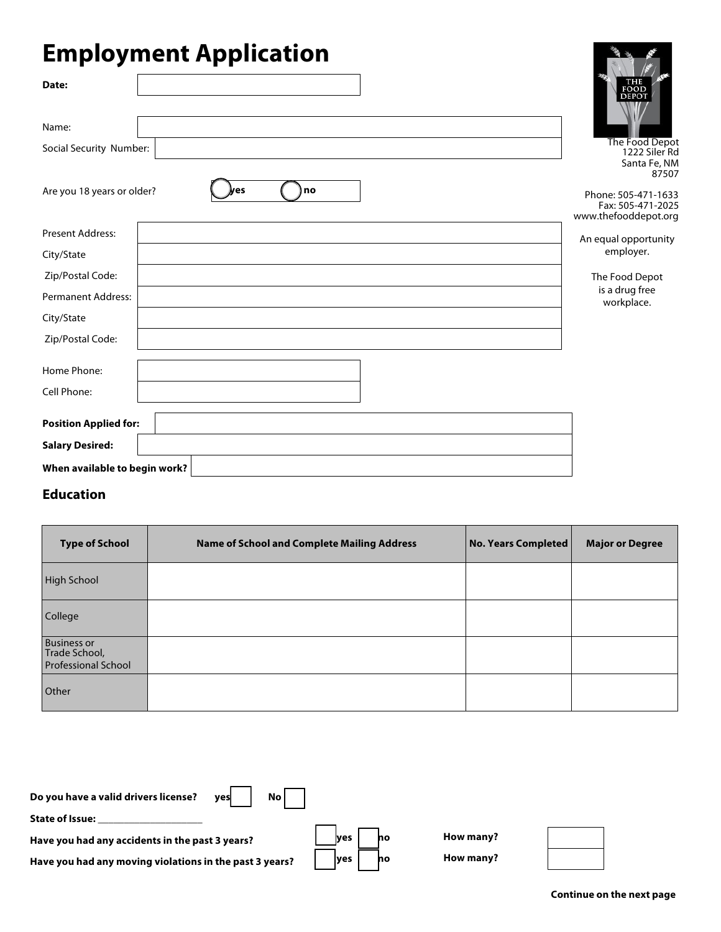# **Employment Application**

| <u>рот</u><br>$\boldsymbol{J}$<br>-г г  |                                          |
|-----------------------------------------|------------------------------------------|
| Date:                                   | FOOD                                     |
|                                         | <b>DEPOT</b>                             |
| Name:                                   |                                          |
| Social Security Number:                 | The Food Depot<br>1222 Siler Rd          |
|                                         | Santa Fe, NM                             |
| no<br>Are you 18 years or older?<br>les | 87507                                    |
|                                         | Phone: 505-471-1633<br>Fax: 505-471-2025 |
|                                         | www.thefooddepot.org                     |
| <b>Present Address:</b>                 | An equal opportunity                     |
| City/State                              | employer.                                |
| Zip/Postal Code:                        | The Food Depot                           |
| Permanent Address:                      | is a drug free<br>workplace.             |
| City/State                              |                                          |
| Zip/Postal Code:                        |                                          |
|                                         |                                          |
| Home Phone:                             |                                          |
| Cell Phone:                             |                                          |
| <b>Position Applied for:</b>            |                                          |
| <b>Salary Desired:</b>                  |                                          |
| When available to begin work?           |                                          |

#### **Education**

| <b>Type of School</b>                                             | <b>Name of School and Complete Mailing Address</b> | No. Years Completed | <b>Major or Degree</b> |
|-------------------------------------------------------------------|----------------------------------------------------|---------------------|------------------------|
| <b>High School</b>                                                |                                                    |                     |                        |
| College                                                           |                                                    |                     |                        |
| <b>Business or</b><br>Trade School,<br><b>Professional School</b> |                                                    |                     |                        |
| Other                                                             |                                                    |                     |                        |



医摩

∦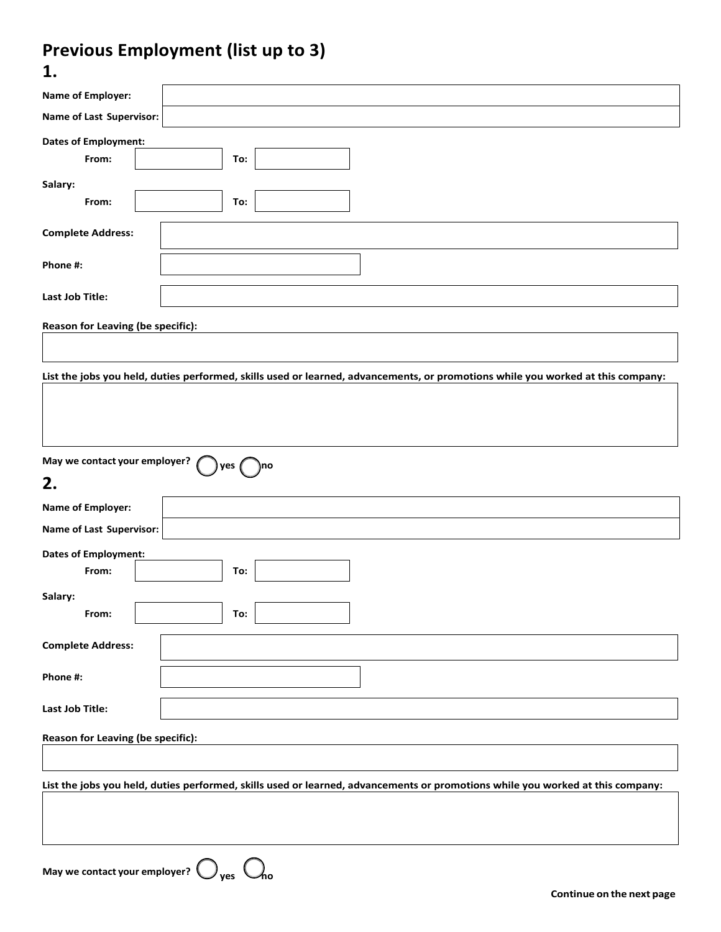#### **Previous Employment (list up to 3) 1.**

| ı.                                          |                                                                                                                                 |  |  |  |  |
|---------------------------------------------|---------------------------------------------------------------------------------------------------------------------------------|--|--|--|--|
| Name of Employer:                           |                                                                                                                                 |  |  |  |  |
| Name of Last Supervisor:                    |                                                                                                                                 |  |  |  |  |
| <b>Dates of Employment:</b>                 |                                                                                                                                 |  |  |  |  |
| From:                                       | To:                                                                                                                             |  |  |  |  |
| Salary:                                     |                                                                                                                                 |  |  |  |  |
| From:                                       | To:                                                                                                                             |  |  |  |  |
| <b>Complete Address:</b>                    |                                                                                                                                 |  |  |  |  |
| Phone #:                                    |                                                                                                                                 |  |  |  |  |
| Last Job Title:                             |                                                                                                                                 |  |  |  |  |
| Reason for Leaving (be specific):           |                                                                                                                                 |  |  |  |  |
|                                             |                                                                                                                                 |  |  |  |  |
|                                             |                                                                                                                                 |  |  |  |  |
|                                             | List the jobs you held, duties performed, skills used or learned, advancements, or promotions while you worked at this company: |  |  |  |  |
|                                             |                                                                                                                                 |  |  |  |  |
|                                             |                                                                                                                                 |  |  |  |  |
|                                             |                                                                                                                                 |  |  |  |  |
| May we contact your employer?               | yes<br>)no                                                                                                                      |  |  |  |  |
| 2.                                          |                                                                                                                                 |  |  |  |  |
| Name of Employer:                           |                                                                                                                                 |  |  |  |  |
| <b>Name of Last Supervisor:</b>             |                                                                                                                                 |  |  |  |  |
| <b>Dates of Employment:</b>                 |                                                                                                                                 |  |  |  |  |
| From:                                       | To:                                                                                                                             |  |  |  |  |
| Salary:                                     |                                                                                                                                 |  |  |  |  |
| From:                                       | To:                                                                                                                             |  |  |  |  |
| <b>Complete Address:</b>                    |                                                                                                                                 |  |  |  |  |
|                                             |                                                                                                                                 |  |  |  |  |
| Phone #:                                    |                                                                                                                                 |  |  |  |  |
| Last Job Title:                             |                                                                                                                                 |  |  |  |  |
|                                             |                                                                                                                                 |  |  |  |  |
| Reason for Leaving (be specific):           |                                                                                                                                 |  |  |  |  |
|                                             |                                                                                                                                 |  |  |  |  |
|                                             | List the jobs you held, duties performed, skills used or learned, advancements or promotions while you worked at this company:  |  |  |  |  |
|                                             |                                                                                                                                 |  |  |  |  |
|                                             |                                                                                                                                 |  |  |  |  |
|                                             |                                                                                                                                 |  |  |  |  |
| May we contact your employer?<br>⁄ho<br>ves |                                                                                                                                 |  |  |  |  |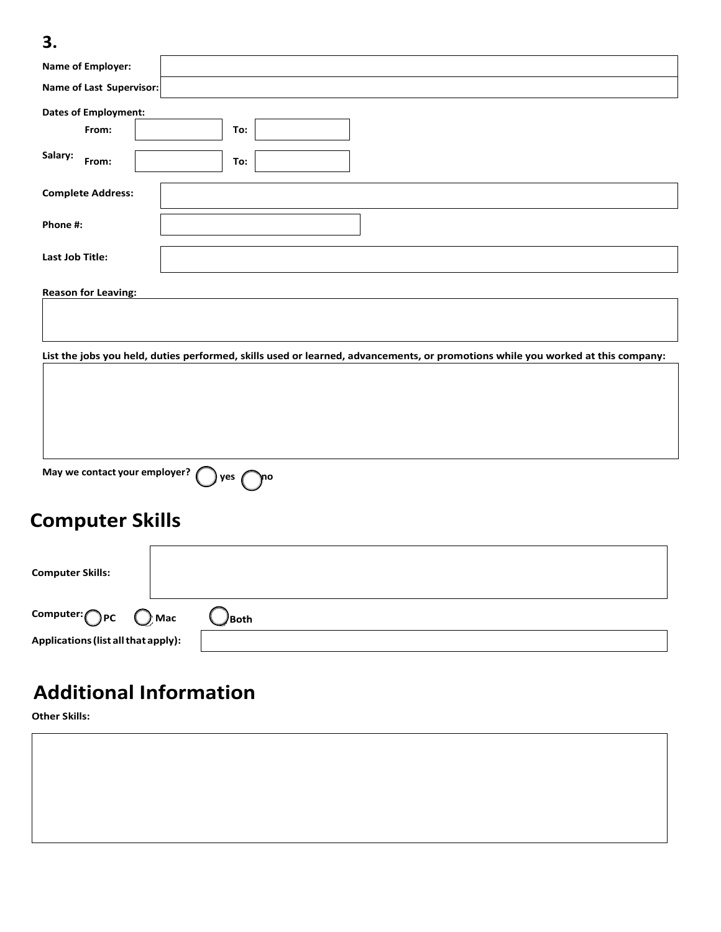### **3.**

| Name of Last Supervisor:                                                                                                        |
|---------------------------------------------------------------------------------------------------------------------------------|
|                                                                                                                                 |
| To:                                                                                                                             |
| To:                                                                                                                             |
|                                                                                                                                 |
|                                                                                                                                 |
|                                                                                                                                 |
|                                                                                                                                 |
|                                                                                                                                 |
| List the jobs you held, duties performed, skills used or learned, advancements, or promotions while you worked at this company: |
|                                                                                                                                 |
|                                                                                                                                 |
|                                                                                                                                 |
|                                                                                                                                 |
| May we contact your employer?<br>yes $\sqrt{ }$<br>γnο                                                                          |
|                                                                                                                                 |
| <b>Computer Skills</b>                                                                                                          |
|                                                                                                                                 |
|                                                                                                                                 |
|                                                                                                                                 |
|                                                                                                                                 |
|                                                                                                                                 |

**Additional Information**

**Applications(list allthat apply):**

**Other Skills:**